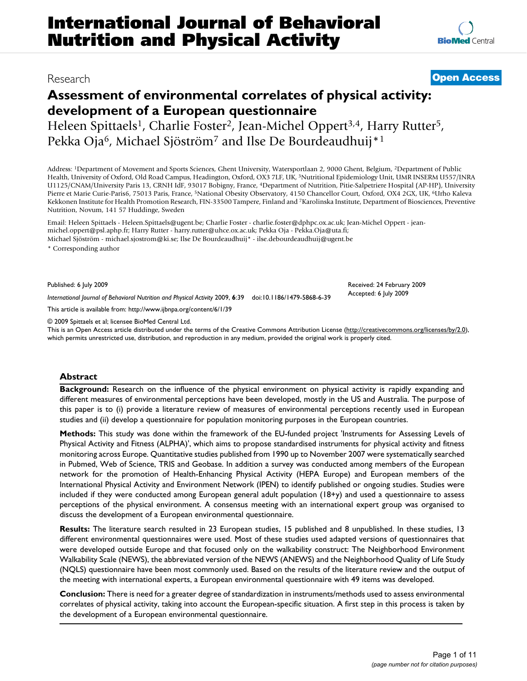# **Assessment of environmental correlates of physical activity: development of a European questionnaire**

Heleen Spittaels<sup>1</sup>, Charlie Foster<sup>2</sup>, Jean-Michel Oppert<sup>3,4</sup>, Harry Rutter<sup>5</sup>, Pekka Oja<sup>6</sup>, Michael Sjöström<sup>7</sup> and Ilse De Bourdeaudhuij<sup>\*1</sup>

Address: 1Department of Movement and Sports Sciences, Ghent University, Watersportlaan 2, 9000 Ghent, Belgium, 2Department of Public Health, University of Oxford, Old Road Campus, Headington, Oxford, OX3 7LF, UK, 3Nutritional Epidemiology Unit, UMR INSERM U557/INRA U1125/CNAM/University Paris 13, CRNH IdF, 93017 Bobigny, France, 4Department of Nutrition, Pitie-Salpetriere Hospital (AP-HP), University Pierre et Marie Curie-Paris6, 75013 Paris, France, 5National Obesity Observatory, 4150 Chancellor Court, Oxford, OX4 2GX, UK, 6Urho Kaleva Kekkonen Institute for Health Promotion Research, FIN-33500 Tampere, Finland and 7Karolinska Institute, Department of Biosciences, Preventive Nutrition, Novum, 141 57 Huddinge, Sweden

Email: Heleen Spittaels - Heleen.Spittaels@ugent.be; Charlie Foster - charlie.foster@dphpc.ox.ac.uk; Jean-Michel Oppert - jeanmichel.oppert@psl.aphp.fr; Harry Rutter - harry.rutter@uhce.ox.ac.uk; Pekka Oja - Pekka.Oja@uta.fi; Michael Sjöström - michael.sjostrom@ki.se; Ilse De Bourdeaudhuij\* - ilse.debourdeaudhuij@ugent.be

\* Corresponding author

Published: 6 July 2009

*International Journal of Behavioral Nutrition and Physical Activity* 2009, **6**:39 doi:10.1186/1479-5868-6-39

[This article is available from: http://www.ijbnpa.org/content/6/1/39](http://www.ijbnpa.org/content/6/1/39)

© 2009 Spittaels et al; licensee BioMed Central Ltd.

This is an Open Access article distributed under the terms of the Creative Commons Attribution License [\(http://creativecommons.org/licenses/by/2.0\)](http://creativecommons.org/licenses/by/2.0), which permits unrestricted use, distribution, and reproduction in any medium, provided the original work is properly cited.

#### **Abstract**

**Background:** Research on the influence of the physical environment on physical activity is rapidly expanding and different measures of environmental perceptions have been developed, mostly in the US and Australia. The purpose of this paper is to (i) provide a literature review of measures of environmental perceptions recently used in European studies and (ii) develop a questionnaire for population monitoring purposes in the European countries.

**Methods:** This study was done within the framework of the EU-funded project 'Instruments for Assessing Levels of Physical Activity and Fitness (ALPHA)', which aims to propose standardised instruments for physical activity and fitness monitoring across Europe. Quantitative studies published from 1990 up to November 2007 were systematically searched in Pubmed, Web of Science, TRIS and Geobase. In addition a survey was conducted among members of the European network for the promotion of Health-Enhancing Physical Activity (HEPA Europe) and European members of the International Physical Activity and Environment Network (IPEN) to identify published or ongoing studies. Studies were included if they were conducted among European general adult population (18+y) and used a questionnaire to assess perceptions of the physical environment. A consensus meeting with an international expert group was organised to discuss the development of a European environmental questionnaire.

**Results:** The literature search resulted in 23 European studies, 15 published and 8 unpublished. In these studies, 13 different environmental questionnaires were used. Most of these studies used adapted versions of questionnaires that were developed outside Europe and that focused only on the walkability construct: The Neighborhood Environment Walkability Scale (NEWS), the abbreviated version of the NEWS (ANEWS) and the Neighborhood Quality of Life Study (NQLS) questionnaire have been most commonly used. Based on the results of the literature review and the output of the meeting with international experts, a European environmental questionnaire with 49 items was developed.

**Conclusion:** There is need for a greater degree of standardization in instruments/methods used to assess environmental correlates of physical activity, taking into account the European-specific situation. A first step in this process is taken by the development of a European environmental questionnaire.

Research **[Open Access](http://www.biomedcentral.com/info/about/charter/)**

Received: 24 February 2009 Accepted: 6 July 2009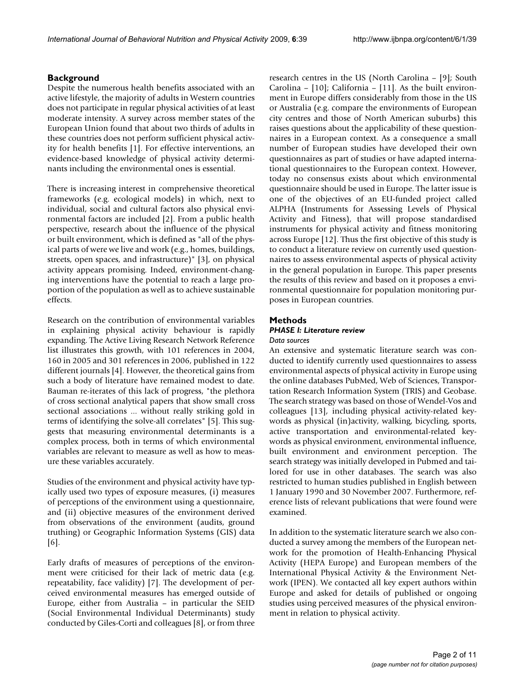# **Background**

Despite the numerous health benefits associated with an active lifestyle, the majority of adults in Western countries does not participate in regular physical activities of at least moderate intensity. A survey across member states of the European Union found that about two thirds of adults in these countries does not perform sufficient physical activity for health benefits [1]. For effective interventions, an evidence-based knowledge of physical activity determinants including the environmental ones is essential.

There is increasing interest in comprehensive theoretical frameworks (e.g. ecological models) in which, next to individual, social and cultural factors also physical environmental factors are included [2]. From a public health perspective, research about the influence of the physical or built environment, which is defined as "all of the physical parts of were we live and work (e.g., homes, buildings, streets, open spaces, and infrastructure)" [3], on physical activity appears promising. Indeed, environment-changing interventions have the potential to reach a large proportion of the population as well as to achieve sustainable effects.

Research on the contribution of environmental variables in explaining physical activity behaviour is rapidly expanding. The Active Living Research Network Reference list illustrates this growth, with 101 references in 2004, 160 in 2005 and 301 references in 2006, published in 122 different journals [4]. However, the theoretical gains from such a body of literature have remained modest to date. Bauman re-iterates of this lack of progress, "the plethora of cross sectional analytical papers that show small cross sectional associations ... without really striking gold in terms of identifying the solve-all correlates" [5]. This suggests that measuring environmental determinants is a complex process, both in terms of which environmental variables are relevant to measure as well as how to measure these variables accurately.

Studies of the environment and physical activity have typically used two types of exposure measures, (i) measures of perceptions of the environment using a questionnaire, and (ii) objective measures of the environment derived from observations of the environment (audits, ground truthing) or Geographic Information Systems (GIS) data [6].

Early drafts of measures of perceptions of the environment were criticised for their lack of metric data (e.g. repeatability, face validity) [7]. The development of perceived environmental measures has emerged outside of Europe, either from Australia – in particular the SEID (Social Environmental Individual Determinants) study conducted by Giles-Corti and colleagues [8], or from three research centres in the US (North Carolina – [9]; South Carolina – [10]; California – [11]. As the built environment in Europe differs considerably from those in the US or Australia (e.g. compare the environments of European city centres and those of North American suburbs) this raises questions about the applicability of these questionnaires in a European context. As a consequence a small number of European studies have developed their own questionnaires as part of studies or have adapted international questionnaires to the European context. However, today no consensus exists about which environmental questionnaire should be used in Europe. The latter issue is one of the objectives of an EU-funded project called ALPHA (Instruments for Assessing Levels of Physical Activity and Fitness), that will propose standardised instruments for physical activity and fitness monitoring across Europe [12]. Thus the first objective of this study is to conduct a literature review on currently used questionnaires to assess environmental aspects of physical activity in the general population in Europe. This paper presents the results of this review and based on it proposes a environmental questionnaire for population monitoring purposes in European countries.

# **Methods**

# *PHASE I: Literature review*

#### *Data sources*

An extensive and systematic literature search was conducted to identify currently used questionnaires to assess environmental aspects of physical activity in Europe using the online databases PubMed, Web of Sciences, Transportation Research Information System (TRIS) and Geobase. The search strategy was based on those of Wendel-Vos and colleagues [13], including physical activity-related keywords as physical (in)activity, walking, bicycling, sports, active transportation and environmental-related keywords as physical environment, environmental influence, built environment and environment perception. The search strategy was initially developed in Pubmed and tailored for use in other databases. The search was also restricted to human studies published in English between 1 January 1990 and 30 November 2007. Furthermore, reference lists of relevant publications that were found were examined.

In addition to the systematic literature search we also conducted a survey among the members of the European network for the promotion of Health-Enhancing Physical Activity (HEPA Europe) and European members of the International Physical Activity & the Environment Network (IPEN). We contacted all key expert authors within Europe and asked for details of published or ongoing studies using perceived measures of the physical environment in relation to physical activity.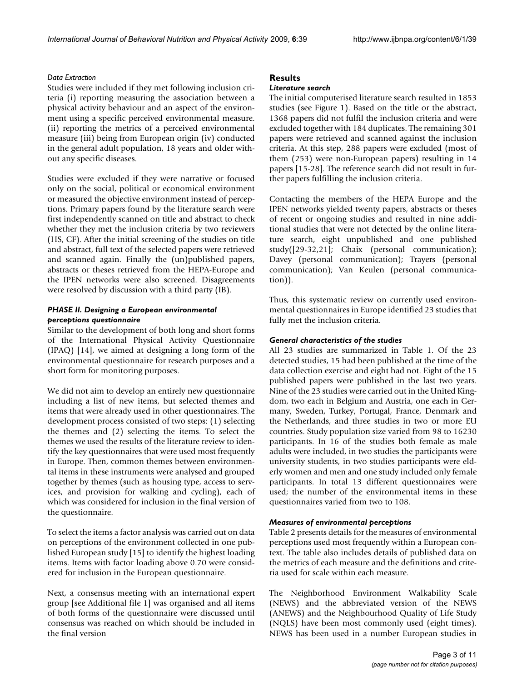#### *Data Extraction*

Studies were included if they met following inclusion criteria (i) reporting measuring the association between a physical activity behaviour and an aspect of the environment using a specific perceived environmental measure. (ii) reporting the metrics of a perceived environmental measure (iii) being from European origin (iv) conducted in the general adult population, 18 years and older without any specific diseases.

Studies were excluded if they were narrative or focused only on the social, political or economical environment or measured the objective environment instead of perceptions. Primary papers found by the literature search were first independently scanned on title and abstract to check whether they met the inclusion criteria by two reviewers (HS, CF). After the initial screening of the studies on title and abstract, full text of the selected papers were retrieved and scanned again. Finally the (un)published papers, abstracts or theses retrieved from the HEPA-Europe and the IPEN networks were also screened. Disagreements were resolved by discussion with a third party (IB).

### *PHASE II. Designing a European environmental perceptions questionnaire*

Similar to the development of both long and short forms of the International Physical Activity Questionnaire (IPAQ) [14], we aimed at designing a long form of the environmental questionnaire for research purposes and a short form for monitoring purposes.

We did not aim to develop an entirely new questionnaire including a list of new items, but selected themes and items that were already used in other questionnaires. The development process consisted of two steps: (1) selecting the themes and (2) selecting the items. To select the themes we used the results of the literature review to identify the key questionnaires that were used most frequently in Europe. Then, common themes between environmental items in these instruments were analysed and grouped together by themes (such as housing type, access to services, and provision for walking and cycling), each of which was considered for inclusion in the final version of the questionnaire.

To select the items a factor analysis was carried out on data on perceptions of the environment collected in one published European study [15] to identify the highest loading items. Items with factor loading above 0.70 were considered for inclusion in the European questionnaire.

Next, a consensus meeting with an international expert group [see Additional file 1] was organised and all items of both forms of the questionnaire were discussed until consensus was reached on which should be included in the final version

## **Results**

#### *Literature search*

The initial computerised literature search resulted in 1853 studies (see Figure 1). Based on the title or the abstract, 1368 papers did not fulfil the inclusion criteria and were excluded together with 184 duplicates. The remaining 301 papers were retrieved and scanned against the inclusion criteria. At this step, 288 papers were excluded (most of them (253) were non-European papers) resulting in 14 papers [15-28]. The reference search did not result in further papers fulfilling the inclusion criteria.

Contacting the members of the HEPA Europe and the IPEN networks yielded twenty papers, abstracts or theses of recent or ongoing studies and resulted in nine additional studies that were not detected by the online literature search, eight unpublished and one published study([29-32,21]; Chaix (personal communication); Davey (personal communication); Trayers (personal communication); Van Keulen (personal communication)).

Thus, this systematic review on currently used environmental questionnaires in Europe identified 23 studies that fully met the inclusion criteria.

#### *General characteristics of the studies*

All 23 studies are summarized in Table 1. Of the 23 detected studies, 15 had been published at the time of the data collection exercise and eight had not. Eight of the 15 published papers were published in the last two years. Nine of the 23 studies were carried out in the United Kingdom, two each in Belgium and Austria, one each in Germany, Sweden, Turkey, Portugal, France, Denmark and the Netherlands, and three studies in two or more EU countries. Study population size varied from 98 to 16230 participants. In 16 of the studies both female as male adults were included, in two studies the participants were university students, in two studies participants were elderly women and men and one study included only female participants. In total 13 different questionnaires were used; the number of the environmental items in these questionnaires varied from two to 108.

#### *Measures of environmental perceptions*

Table 2 presents details for the measures of environmental perceptions used most frequently within a European context. The table also includes details of published data on the metrics of each measure and the definitions and criteria used for scale within each measure.

The Neighborhood Environment Walkability Scale (NEWS) and the abbreviated version of the NEWS (ANEWS) and the Neighbourhood Quality of Life Study (NQLS) have been most commonly used (eight times). NEWS has been used in a number European studies in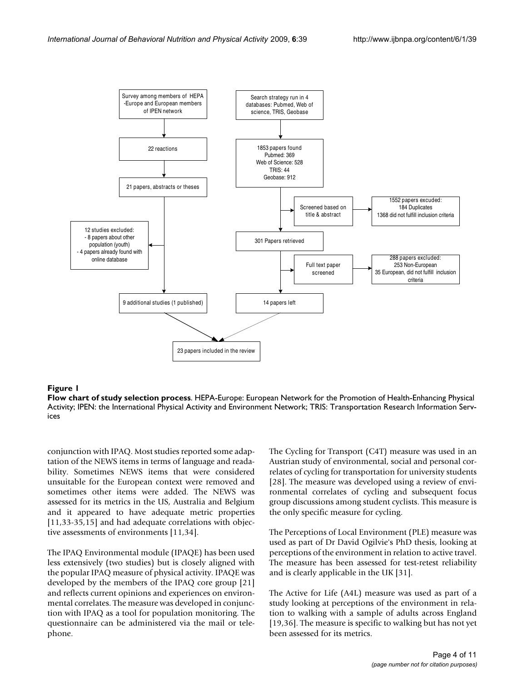

#### Figure 1

**Flow chart of study selection process**. HEPA-Europe: European Network for the Promotion of Health-Enhancing Physical Activity; IPEN: the International Physical Activity and Environment Network; TRIS: Transportation Research Information Services

conjunction with IPAQ. Most studies reported some adaptation of the NEWS items in terms of language and readability. Sometimes NEWS items that were considered unsuitable for the European context were removed and sometimes other items were added. The NEWS was assessed for its metrics in the US, Australia and Belgium and it appeared to have adequate metric properties [11,33-35,15] and had adequate correlations with objective assessments of environments [11,34].

The IPAQ Environmental module (IPAQE) has been used less extensively (two studies) but is closely aligned with the popular IPAQ measure of physical activity. IPAQE was developed by the members of the IPAQ core group [21] and reflects current opinions and experiences on environmental correlates. The measure was developed in conjunction with IPAQ as a tool for population monitoring. The questionnaire can be administered via the mail or telephone.

The Cycling for Transport (C4T) measure was used in an Austrian study of environmental, social and personal correlates of cycling for transportation for university students [28]. The measure was developed using a review of environmental correlates of cycling and subsequent focus group discussions among student cyclists. This measure is the only specific measure for cycling.

The Perceptions of Local Environment (PLE) measure was used as part of Dr David Ogilvie's PhD thesis, looking at perceptions of the environment in relation to active travel. The measure has been assessed for test-retest reliability and is clearly applicable in the UK [31].

The Active for Life (A4L) measure was used as part of a study looking at perceptions of the environment in relation to walking with a sample of adults across England [19,36]. The measure is specific to walking but has not yet been assessed for its metrics.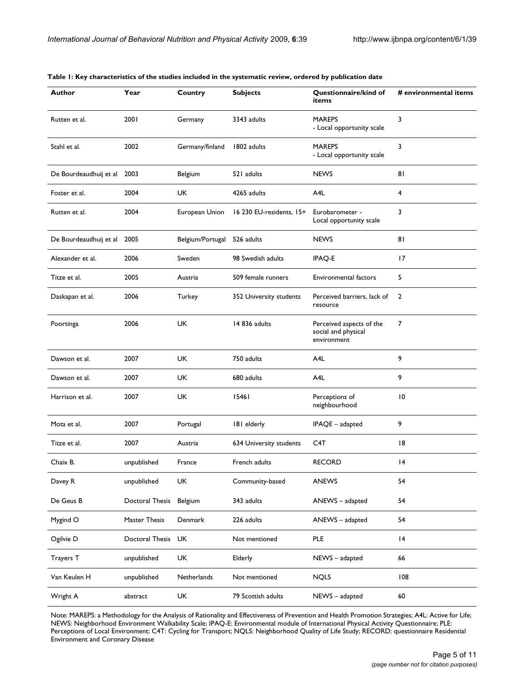| Author                      | Year            | Country          | <b>Subjects</b>          | Questionnaire/kind of                                          | # environmental items |
|-----------------------------|-----------------|------------------|--------------------------|----------------------------------------------------------------|-----------------------|
|                             |                 |                  |                          | items                                                          |                       |
| Rutten et al.               | 200 I           | Germany          | 3343 adults              | <b>MAREPS</b><br>- Local opportunity scale                     | 3                     |
| Stahl et al.                | 2002            | Germany/finland  | 1802 adults              | <b>MAREPS</b><br>- Local opportunity scale                     | 3                     |
| De Bourdeaudhuij et al 2003 |                 | Belgium          | 521 adults               | <b>NEWS</b>                                                    | 81                    |
| Foster et al.               | 2004            | UK               | 4265 adults              | A4L                                                            | 4                     |
| Rutten et al.               | 2004            | European Union   | 16 230 EU-residents, 15+ | Eurobarometer -<br>Local opportunity scale                     | 3                     |
| De Bourdeaudhuij et al      | 2005            | Belgium/Portugal | 526 adults               | <b>NEWS</b>                                                    | 81                    |
| Alexander et al.            | 2006            | Sweden           | 98 Swedish adults        | IPAQ-E                                                         | 17                    |
| Titze et al.                | 2005            | Austria          | 509 female runners       | <b>Environmental factors</b>                                   | 5                     |
| Daskapan et al.             | 2006            | Turkey           | 352 University students  | Perceived barriers, lack of<br>resource                        | 2                     |
| Poortinga                   | 2006            | <b>UK</b>        | 14 836 adults            | Perceived aspects of the<br>social and physical<br>environment | 7                     |
| Dawson et al.               | 2007            | UK.              | 750 adults               | A4L                                                            | 9                     |
| Dawson et al.               | 2007            | UK               | 680 adults               | A4L                                                            | 9                     |
| Harrison et al.             | 2007            | UK               | 15461                    | Perceptions of<br>neighbourhood                                | $\overline{10}$       |
| Mota et al.                 | 2007            | Portugal         | 181 elderly              | IPAQE - adapted                                                | 9                     |
| Titze et al.                | 2007            | Austria          | 634 University students  | C <sub>4</sub> T                                               | 18                    |
| Chaix B.                    | unpublished     | France           | French adults            | <b>RECORD</b>                                                  | 4                     |
| Davey R                     | unpublished     | UK               | Community-based          | ANEWS                                                          | 54                    |
| De Geus B                   | Doctoral Thesis | Belgium          | 343 adults               | ANEWS - adapted                                                | 54                    |
| Mygind O                    | Master Thesis   | Denmark          | 226 adults               | ANEWS - adapted                                                | 54                    |
| Ogilvie D                   | Doctoral Thesis | UK.              | Not mentioned            | <b>PLE</b>                                                     | 4                     |
| Trayers T                   | unpublished     | UK               | Elderly                  | NEWS - adapted                                                 | 66                    |
| Van Keulen H                | unpublished     | Netherlands      | Not mentioned            | <b>NQLS</b>                                                    | 108                   |
| Wright A                    | abstract        | UK               | 79 Scottish adults       | NEWS - adapted                                                 | 60                    |

#### **Table 1: Key characteristics of the studies included in the systematic review, ordered by publication date**

Note: MAREPS: a Methodology for the Analysis of Rationality and Effectiveness of Prevention and Health Promotion Strategies; A4L: Active for Life; NEWS: Neighborhood Environment Walkability Scale; IPAQ-E: Environmental module of International Physical Activity Questionnaire; PLE: Perceptions of Local Environment; C4T: Cycling for Transport; NQLS: Neighborhood Quality of Life Study; RECORD: questionnaire Residential Environment and Coronary Disease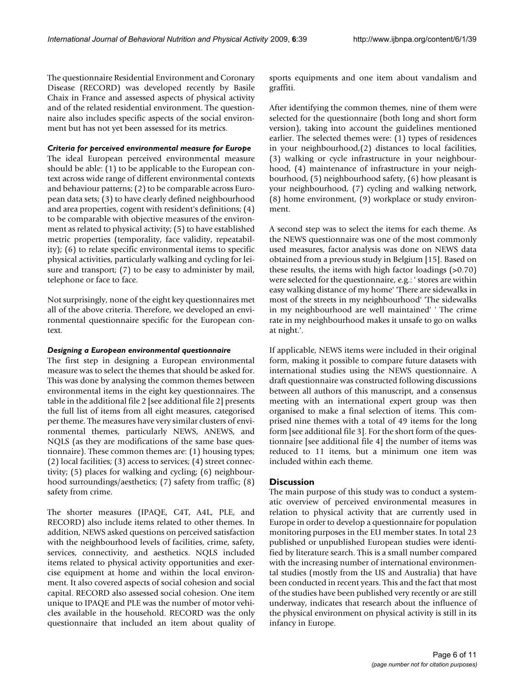The questionnaire Residential Environment and Coronary Disease (RECORD) was developed recently by Basile Chaix in France and assessed aspects of physical activity and of the related residential environment. The questionnaire also includes specific aspects of the social environment but has not yet been assessed for its metrics.

#### *Criteria for perceived environmental measure for Europe*

The ideal European perceived environmental measure should be able: (1) to be applicable to the European context across wide range of different environmental contexts and behaviour patterns; (2) to be comparable across European data sets; (3) to have clearly defined neighbourhood and area properties, cogent with resident's definitions; (4) to be comparable with objective measures of the environment as related to physical activity; (5) to have established metric properties (temporality, face validity, repeatability); (6) to relate specific environmental items to specific physical activities, particularly walking and cycling for leisure and transport; (7) to be easy to administer by mail, telephone or face to face.

Not surprisingly, none of the eight key questionnaires met all of the above criteria. Therefore, we developed an environmental questionnaire specific for the European context.

#### *Designing a European environmental questionnaire*

The first step in designing a European environmental measure was to select the themes that should be asked for. This was done by analysing the common themes between environmental items in the eight key questionnaires. The table in the additional file 2 [see additional file 2] presents the full list of items from all eight measures, categorised per theme. The measures have very similar clusters of environmental themes, particularly NEWS, ANEWS, and NQLS (as they are modifications of the same base questionnaire). These common themes are: (1) housing types; (2) local facilities; (3) access to services; (4) street connectivity; (5) places for walking and cycling; (6) neighbourhood surroundings/aesthetics; (7) safety from traffic; (8) safety from crime.

The shorter measures (IPAQE, C4T, A4L, PLE, and RECORD) also include items related to other themes. In addition, NEWS asked questions on perceived satisfaction with the neighbourhood levels of facilities, crime, safety, services, connectivity, and aesthetics. NQLS included items related to physical activity opportunities and exercise equipment at home and within the local environment. It also covered aspects of social cohesion and social capital. RECORD also assessed social cohesion. One item unique to IPAQE and PLE was the number of motor vehicles available in the household. RECORD was the only questionnaire that included an item about quality of sports equipments and one item about vandalism and graffiti.

After identifying the common themes, nine of them were selected for the questionnaire (both long and short form version), taking into account the guidelines mentioned earlier. The selected themes were: (1) types of residences in your neighbourhood,(2) distances to local facilities, (3) walking or cycle infrastructure in your neighbourhood, (4) maintenance of infrastructure in your neighbourhood, (5) neighbourhood safety, (6) how pleasant is your neighbourhood, (7) cycling and walking network, (8) home environment, (9) workplace or study environment.

A second step was to select the items for each theme. As the NEWS questionnaire was one of the most commonly used measures, factor analysis was done on NEWS data obtained from a previous study in Belgium [15]. Based on these results, the items with high factor loadings (>0.70) were selected for the questionnaire, e.g.: ' stores are within easy walking distance of my home' 'There are sidewalks in most of the streets in my neighbourhood' 'The sidewalks in my neighbourhood are well maintained' ' The crime rate in my neighbourhood makes it unsafe to go on walks at night.'.

If applicable, NEWS items were included in their original form, making it possible to compare future datasets with international studies using the NEWS questionnaire. A draft questionnaire was constructed following discussions between all authors of this manuscript, and a consensus meeting with an international expert group was then organised to make a final selection of items. This comprised nine themes with a total of 49 items for the long form [see additional file 3]. For the short form of the questionnaire [see additional file 4] the number of items was reduced to 11 items, but a minimum one item was included within each theme.

# **Discussion**

The main purpose of this study was to conduct a systematic overview of perceived environmental measures in relation to physical activity that are currently used in Europe in order to develop a questionnaire for population monitoring purposes in the EU member states. In total 23 published or unpublished European studies were identified by literature search. This is a small number compared with the increasing number of international environmental studies (mostly from the US and Australia) that have been conducted in recent years. This and the fact that most of the studies have been published very recently or are still underway, indicates that research about the influence of the physical environment on physical activity is still in its infancy in Europe.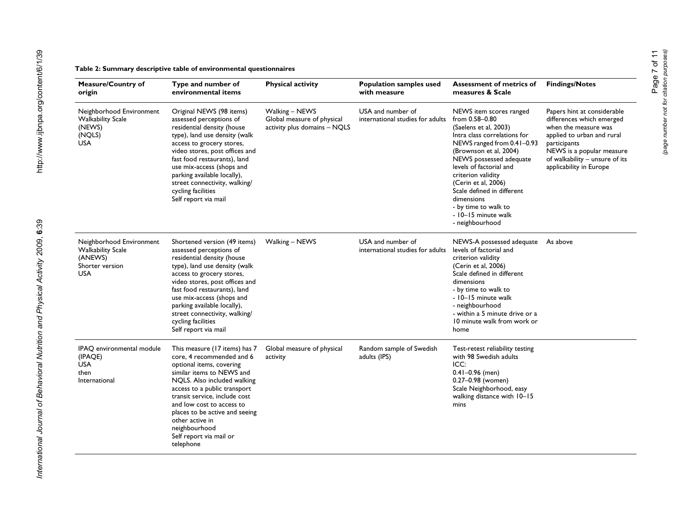#### **Table 2: Summary descriptive table of environmental questionnaires**

| <b>Measure/Country of</b><br>origin                                                              | Type and number of<br>environmental items                                                                                                                                                                                                                                                                                                                        | <b>Physical activity</b>                                                     | <b>Population samples used</b><br>with measure        | <b>Assessment of metrics of</b><br>measures & Scale                                                                                                                                                                                                                                                                                                                         | <b>Findings/Notes</b>                                                                                                                                                                                                    |
|--------------------------------------------------------------------------------------------------|------------------------------------------------------------------------------------------------------------------------------------------------------------------------------------------------------------------------------------------------------------------------------------------------------------------------------------------------------------------|------------------------------------------------------------------------------|-------------------------------------------------------|-----------------------------------------------------------------------------------------------------------------------------------------------------------------------------------------------------------------------------------------------------------------------------------------------------------------------------------------------------------------------------|--------------------------------------------------------------------------------------------------------------------------------------------------------------------------------------------------------------------------|
| Neighborhood Environment<br><b>Walkability Scale</b><br>(NEWS)<br>(NQLS)<br><b>USA</b>           | Original NEWS (98 items)<br>assessed perceptions of<br>residential density (house<br>type), land use density (walk<br>access to grocery stores,<br>video stores, post offices and<br>fast food restaurants), land<br>use mix-access (shops and<br>parking available locally),<br>street connectivity, walking/<br>cycling facilities<br>Self report via mail     | Walking - NEWS<br>Global measure of physical<br>activity plus domains - NQLS | USA and number of<br>international studies for adults | NEWS item scores ranged<br>from 0.58-0.80<br>(Saelens et al, 2003)<br>Intra class correlations for<br>NEWS ranged from 0.41-0.93<br>(Brownson et al, 2004)<br>NEWS possessed adequate<br>levels of factorial and<br>criterion validity<br>(Cerin et al, 2006)<br>Scale defined in different<br>dimensions<br>- by time to walk to<br>- 10-15 minute walk<br>- neighbourhood | Papers hint at considerable<br>differences which emerged<br>when the measure was<br>applied to urban and rural<br>participants<br>NEWS is a popular measure<br>of walkability - unsure of its<br>applicability in Europe |
| Neighborhood Environment<br><b>Walkability Scale</b><br>(ANEWS)<br>Shorter version<br><b>USA</b> | Shortened version (49 items)<br>assessed perceptions of<br>residential density (house<br>type), land use density (walk<br>access to grocery stores,<br>video stores, post offices and<br>fast food restaurants), land<br>use mix-access (shops and<br>parking available locally),<br>street connectivity, walking/<br>cycling facilities<br>Self report via mail | Walking - NEWS                                                               | USA and number of<br>international studies for adults | NEWS-A possessed adequate<br>levels of factorial and<br>criterion validity<br>(Cerin et al, 2006)<br>Scale defined in different<br>dimensions<br>- by time to walk to<br>- 10–15 minute walk<br>- neighbourhood<br>- within a 5 minute drive or a<br>10 minute walk from work or<br>home                                                                                    | As above                                                                                                                                                                                                                 |
| IPAQ environmental module<br>(IPAQE)<br><b>USA</b><br>then<br>International                      | This measure (17 items) has 7<br>core, 4 recommended and 6<br>optional items, covering<br>similar items to NEWS and<br>NQLS. Also included walking<br>access to a public transport<br>transit service, include cost<br>and low cost to access to<br>places to be active and seeing<br>other active in<br>neighbourhood<br>Self report via mail or<br>telephone   | Global measure of physical<br>activity                                       | Random sample of Swedish<br>adults (IPS)              | Test-retest reliability testing<br>with 98 Swedish adults<br>ICC:<br>$0.41 - 0.96$ (men)<br>$0.27 - 0.98$ (women)<br>Scale Neighborhood, easy<br>walking distance with 10-15<br>mins                                                                                                                                                                                        |                                                                                                                                                                                                                          |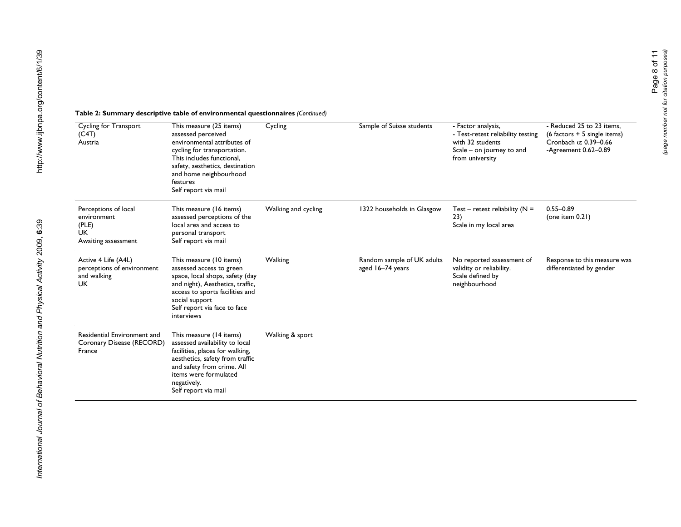### **Table 2: Summary descriptive table of environmental questionnaires** *(Continued)*

| <b>Cycling for Transport</b><br>(C4T)<br>Austria                              | This measure (25 items)<br>assessed perceived<br>environmental attributes of<br>cycling for transportation.<br>This includes functional.<br>safety, aesthetics, destination<br>and home neighbourhood<br>features<br>Self report via mail | Cycling             | Sample of Suisse students                      | - Factor analysis,<br>- Test-retest reliability testing<br>with 32 students<br>$Scale - on journey to and$<br>from university | - Reduced 25 to 23 items.<br>$(6$ factors + 5 single items)<br>Cronbach $\alpha$ : 0.39-0.66<br>-Agreement 0.62-0.89 |
|-------------------------------------------------------------------------------|-------------------------------------------------------------------------------------------------------------------------------------------------------------------------------------------------------------------------------------------|---------------------|------------------------------------------------|-------------------------------------------------------------------------------------------------------------------------------|----------------------------------------------------------------------------------------------------------------------|
| Perceptions of local<br>environment<br>(PLE)<br>UK.<br>Awaiting assessment    | This measure (16 items)<br>assessed perceptions of the<br>local area and access to<br>personal transport<br>Self report via mail                                                                                                          | Walking and cycling | 1322 households in Glasgow                     | Test – retest reliability ( $N =$<br>23)<br>Scale in my local area                                                            | $0.55 - 0.89$<br>(one item $0.21$ )                                                                                  |
| Active 4 Life (A4L)<br>perceptions of environment<br>and walking<br><b>UK</b> | This measure (10 items)<br>assessed access to green<br>space, local shops, safety (day<br>and night), Aesthetics, traffic,<br>access to sports facilities and<br>social support<br>Self report via face to face<br>interviews             | Walking             | Random sample of UK adults<br>aged 16-74 years | No reported assessment of<br>validity or reliability.<br>Scale defined by<br>neighbourhood                                    | Response to this measure was<br>differentiated by gender                                                             |
| Residential Environment and<br>Coronary Disease (RECORD)<br>France            | This measure (14 items)<br>assessed availability to local<br>facilities, places for walking,<br>aesthetics, safety from traffic<br>and safety from crime. All<br>items were formulated<br>negatively.<br>Self report via mail             | Walking & sport     |                                                |                                                                                                                               |                                                                                                                      |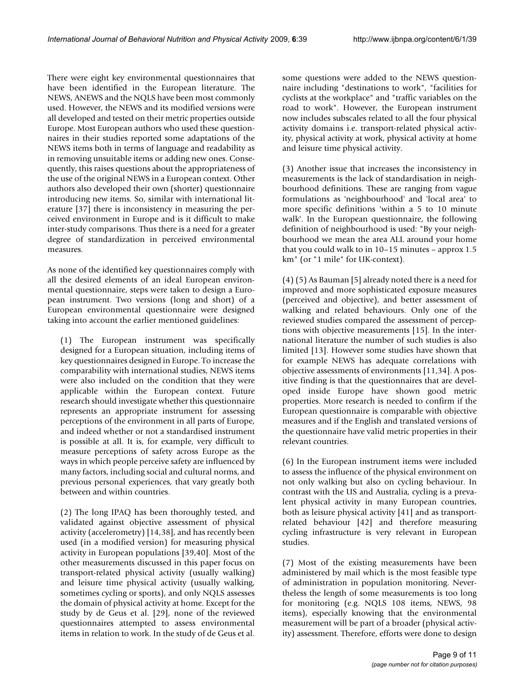There were eight key environmental questionnaires that have been identified in the European literature. The NEWS, ANEWS and the NQLS have been most commonly used. However, the NEWS and its modified versions were all developed and tested on their metric properties outside Europe. Most European authors who used these questionnaires in their studies reported some adaptations of the NEWS items both in terms of language and readability as in removing unsuitable items or adding new ones. Consequently, this raises questions about the appropriateness of the use of the original NEWS in a European context. Other authors also developed their own (shorter) questionnaire introducing new items. So, similar with international literature [37] there is inconsistency in measuring the perceived environment in Europe and is it difficult to make inter-study comparisons. Thus there is a need for a greater degree of standardization in perceived environmental measures.

As none of the identified key questionnaires comply with all the desired elements of an ideal European environmental questionnaire, steps were taken to design a European instrument. Two versions (long and short) of a European environmental questionnaire were designed taking into account the earlier mentioned guidelines:

(1) The European instrument was specifically designed for a European situation, including items of key questionnaires designed in Europe. To increase the comparability with international studies, NEWS items were also included on the condition that they were applicable within the European context. Future research should investigate whether this questionnaire represents an appropriate instrument for assessing perceptions of the environment in all parts of Europe, and indeed whether or not a standardised instrument is possible at all. It is, for example, very difficult to measure perceptions of safety across Europe as the ways in which people perceive safety are influenced by many factors, including social and cultural norms, and previous personal experiences, that vary greatly both between and within countries.

(2) The long IPAQ has been thoroughly tested, and validated against objective assessment of physical activity (accelerometry) [14,38], and has recently been used (in a modified version) for measuring physical activity in European populations [39,40]. Most of the other measurements discussed in this paper focus on transport-related physical activity (usually walking) and leisure time physical activity (usually walking, sometimes cycling or sports), and only NQLS assesses the domain of physical activity at home. Except for the study by de Geus et al. [29], none of the reviewed questionnaires attempted to assess environmental items in relation to work. In the study of de Geus et al. some questions were added to the NEWS questionnaire including "destinations to work", "facilities for cyclists at the workplace" and "traffic variables on the road to work". However, the European instrument now includes subscales related to all the four physical activity domains i.e. transport-related physical activity, physical activity at work, physical activity at home and leisure time physical activity.

(3) Another issue that increases the inconsistency in measurements is the lack of standardisation in neighbourhood definitions. These are ranging from vague formulations as 'neighbourhood' and 'local area' to more specific definitions 'within a 5 to 10 minute walk'. In the European questionnaire, the following definition of neighbourhood is used: "By your neighbourhood we mean the area ALL around your home that you could walk to in 10–15 minutes – approx 1.5 km" (or "1 mile" for UK-context).

(4) (5) As Bauman [5] already noted there is a need for improved and more sophisticated exposure measures (perceived and objective), and better assessment of walking and related behaviours. Only one of the reviewed studies compared the assessment of perceptions with objective measurements [15]. In the international literature the number of such studies is also limited [13]. However some studies have shown that for example NEWS has adequate correlations with objective assessments of environments [11,34]. A positive finding is that the questionnaires that are developed inside Europe have shown good metric properties. More research is needed to confirm if the European questionnaire is comparable with objective measures and if the English and translated versions of the questionnaire have valid metric properties in their relevant countries.

(6) In the European instrument items were included to assess the influence of the physical environment on not only walking but also on cycling behaviour. In contrast with the US and Australia, cycling is a prevalent physical activity in many European countries, both as leisure physical activity [41] and as transportrelated behaviour [42] and therefore measuring cycling infrastructure is very relevant in European studies.

(7) Most of the existing measurements have been administered by mail which is the most feasible type of administration in population monitoring. Nevertheless the length of some measurements is too long for monitoring (e.g. NQLS 108 items, NEWS, 98 items), especially knowing that the environmental measurement will be part of a broader (physical activity) assessment. Therefore, efforts were done to design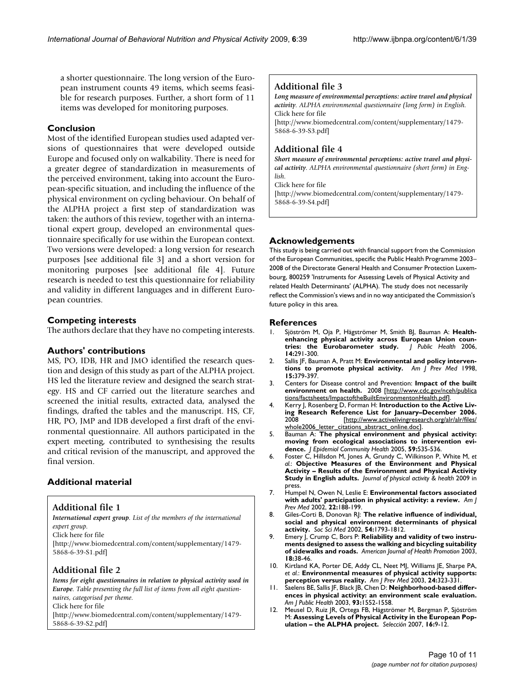a shorter questionnaire. The long version of the European instrument counts 49 items, which seems feasible for research purposes. Further, a short form of 11 items was developed for monitoring purposes.

# **Conclusion**

Most of the identified European studies used adapted versions of questionnaires that were developed outside Europe and focused only on walkability. There is need for a greater degree of standardization in measurements of the perceived environment, taking into account the European-specific situation, and including the influence of the physical environment on cycling behaviour. On behalf of the ALPHA project a first step of standardization was taken: the authors of this review, together with an international expert group, developed an environmental questionnaire specifically for use within the European context. Two versions were developed: a long version for research purposes [see additional file 3] and a short version for monitoring purposes [see additional file 4]. Future research is needed to test this questionnaire for reliability and validity in different languages and in different European countries.

# **Competing interests**

The authors declare that they have no competing interests.

# **Authors' contributions**

MS, PO, IDB, HR and JMO identified the research question and design of this study as part of the ALPHA project. HS led the literature review and designed the search strategy. HS and CF carried out the literature searches and screened the initial results, extracted data, analysed the findings, drafted the tables and the manuscript. HS, CF, HR, PO, JMP and IDB developed a first draft of the environmental questionnaire. All authors participated in the expert meeting, contributed to synthesising the results and critical revision of the manuscript, and approved the final version.

# **Additional material**

#### **Additional file 1**

*International expert group. List of the members of the international expert group.* Click here for file

[\[http://www.biomedcentral.com/content/supplementary/1479-](http://www.biomedcentral.com/content/supplementary/1479-5868-6-39-S1.pdf) 5868-6-39-S1.pdf]

# **Additional file 2**

*Items for eight questionnaires in relation to physical activity used in Europe. Table presenting the full list of items from all eight questionnaires, categorised per theme.*

Click here for file

[\[http://www.biomedcentral.com/content/supplementary/1479-](http://www.biomedcentral.com/content/supplementary/1479-5868-6-39-S2.pdf) 5868-6-39-S2.pdf]

# **Additional file 3**

*Long measure of environmental perceptions: active travel and physical activity. ALPHA environmental questionnaire (long form) in English.* Click here for file [\[http://www.biomedcentral.com/content/supplementary/1479-](http://www.biomedcentral.com/content/supplementary/1479-5868-6-39-S3.pdf) 5868-6-39-S3.pdf]

# **Additional file 4**

*Short measure of environmental perceptions: active travel and physical activity. ALPHA environmental questionnaire (short form) in English.* Click here for file

[\[http://www.biomedcentral.com/content/supplementary/1479-](http://www.biomedcentral.com/content/supplementary/1479-5868-6-39-S4.pdf) 5868-6-39-S4.pdf]

# **Acknowledgements**

This study is being carried out with financial support from the Commission of the European Communities, specific the Public Health Programme 2003– 2008 of the Directorate General Health and Consumer Protection Luxembourg, 800259 'Instruments for Assessing Levels of Physical Activity and related Health Determinants' (ALPHA). The study does not necessarily reflect the Commission's views and in no way anticipated the Commission's future policy in this area.

### **References**

- 1. Sjöström M, Oja P, Hägströmer M, Smith BJ, Bauman A: **Health**enhancing physical activity across European Union countries: the Eurobarometer study. | Public Health 2006, tries: the Eurobarometer study. **14:**291-300.
- 2. Sallis JF, Bauman A, Pratt M: **[Environmental and policy interven](http://www.ncbi.nlm.nih.gov/entrez/query.fcgi?cmd=Retrieve&db=PubMed&dopt=Abstract&list_uids=9838979)[tions to promote physical activity.](http://www.ncbi.nlm.nih.gov/entrez/query.fcgi?cmd=Retrieve&db=PubMed&dopt=Abstract&list_uids=9838979)** *Am J Prev Med* 1998, **15:**379-397.
- 3. Centers for Disease control and Prevention: **Impact of the built environment on health.** 2008 [\[http://www.cdc.gov/nceh/publica](http://www.cdc.gov/nceh/publications/factsheets/ImpactoftheBuiltEnvironmentonHealth.pdf) [tions/factsheets/ImpactoftheBuiltEnvironmentonHealth.pdf](http://www.cdc.gov/nceh/publications/factsheets/ImpactoftheBuiltEnvironmentonHealth.pdf)].
- Kerry J, Rosenberg D, Forman H: Introduction to the Active Liv**ing Research Reference List for January–December 2006.** [[http://www.activelivingresearch.org/alr/alr/files/](http://www.activelivingresearch.org/alr/alr/files/whole2006_letter_citations_abstract_online.doc) [whole2006\\_letter\\_citations\\_abstract\\_online.doc](http://www.activelivingresearch.org/alr/alr/files/whole2006_letter_citations_abstract_online.doc)].
- 5. Bauman A: **[The physical environment and physical activity:](http://www.ncbi.nlm.nih.gov/entrez/query.fcgi?cmd=Retrieve&db=PubMed&dopt=Abstract&list_uids=15965130) [moving from ecological associations to intervention evi](http://www.ncbi.nlm.nih.gov/entrez/query.fcgi?cmd=Retrieve&db=PubMed&dopt=Abstract&list_uids=15965130)[dence.](http://www.ncbi.nlm.nih.gov/entrez/query.fcgi?cmd=Retrieve&db=PubMed&dopt=Abstract&list_uids=15965130)** *J Epidemiol Community Health* 2005, **59:**535-536.
- 6. Foster C, Hillsdon M, Jones A, Grundy C, Wilkinson P, White M, *et al.*: **Objective Measures of the Environment and Physical Activity – Results of the Environment and Physical Activity Study in English adults.** *Journal of physical activity & health* 2009 in press.
- 7. Humpel N, Owen N, Leslie E: **[Environmental factors associated](http://www.ncbi.nlm.nih.gov/entrez/query.fcgi?cmd=Retrieve&db=PubMed&dopt=Abstract&list_uids=11897464) [with adults' participation in physical activity: a review.](http://www.ncbi.nlm.nih.gov/entrez/query.fcgi?cmd=Retrieve&db=PubMed&dopt=Abstract&list_uids=11897464)** *Am J Prev Med* 2002, **22:**188-199.
- 8. Giles-Corti B, Donovan RJ: **[The relative influence of individual,](http://www.ncbi.nlm.nih.gov/entrez/query.fcgi?cmd=Retrieve&db=PubMed&dopt=Abstract&list_uids=12113436) [social and physical environment determinants of physical](http://www.ncbi.nlm.nih.gov/entrez/query.fcgi?cmd=Retrieve&db=PubMed&dopt=Abstract&list_uids=12113436) [activity.](http://www.ncbi.nlm.nih.gov/entrez/query.fcgi?cmd=Retrieve&db=PubMed&dopt=Abstract&list_uids=12113436)** *Soc Sci Med* 2002, **54:**1793-1812.
- 9. Emery J, Crump C, Bors P: **[Reliability and validity of two instru](http://www.ncbi.nlm.nih.gov/entrez/query.fcgi?cmd=Retrieve&db=PubMed&dopt=Abstract&list_uids=13677961)[ments designed to assess the walking and bicycling suitability](http://www.ncbi.nlm.nih.gov/entrez/query.fcgi?cmd=Retrieve&db=PubMed&dopt=Abstract&list_uids=13677961) [of sidewalks and roads.](http://www.ncbi.nlm.nih.gov/entrez/query.fcgi?cmd=Retrieve&db=PubMed&dopt=Abstract&list_uids=13677961)** *American Journal of Health Promotion* 2003, **18:**38-46.
- 10. Kirtland KA, Porter DE, Addy CL, Neet MJ, Williams JE, Sharpe PA, *et al.*: **[Environmental measures of physical activity supports:](http://www.ncbi.nlm.nih.gov/entrez/query.fcgi?cmd=Retrieve&db=PubMed&dopt=Abstract&list_uids=12726870) [perception versus reality.](http://www.ncbi.nlm.nih.gov/entrez/query.fcgi?cmd=Retrieve&db=PubMed&dopt=Abstract&list_uids=12726870)** *Am J Prev Med* 2003, **24:**323-331.
- 11. Saelens BE, Sallis JF, Black JB, Chen D: **[Neighborhood-based differ](http://www.ncbi.nlm.nih.gov/entrez/query.fcgi?cmd=Retrieve&db=PubMed&dopt=Abstract&list_uids=12948979)[ences in physical activity: an environment scale evaluation.](http://www.ncbi.nlm.nih.gov/entrez/query.fcgi?cmd=Retrieve&db=PubMed&dopt=Abstract&list_uids=12948979)** *Am J Public Health* 2003, **93:**1552-1558.
- 12. Meusel D, Ruiz JR, Ortega FB, Hägströmer M, Bergman P, Sjöström M: **Assessing Levels of Physical Activity in the European Population – the ALPHA project.** *Selección* 2007, **16:**9-12.